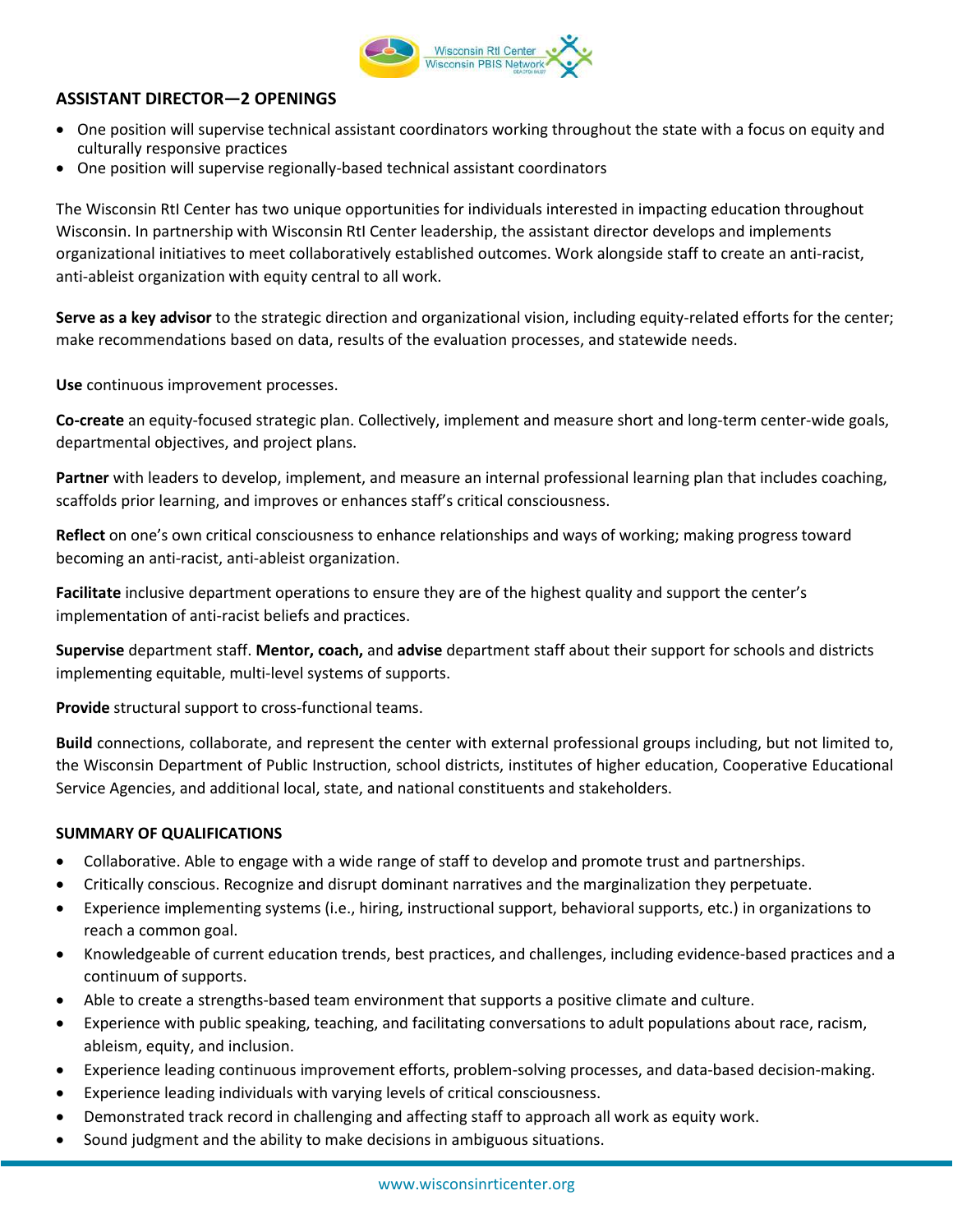

## **ASSISTANT DIRECTOR—2 OPENINGS**

- One position will supervise technical assistant coordinators working throughout the state with a focus on equity and culturally responsive practices
- One position will supervise regionally-based technical assistant coordinators

The Wisconsin RtI Center has two unique opportunities for individuals interested in impacting education throughout Wisconsin. In partnership with Wisconsin RtI Center leadership, the assistant director develops and implements organizational initiatives to meet collaboratively established outcomes. Work alongside staff to create an anti-racist, anti-ableist organization with equity central to all work.

**Serve as a key advisor** to the strategic direction and organizational vision, including equity-related efforts for the center; make recommendations based on data, results of the evaluation processes, and statewide needs.

**Use** continuous improvement processes.

**Co-create** an equity-focused strategic plan. Collectively, implement and measure short and long-term center-wide goals, departmental objectives, and project plans.

**Partner** with leaders to develop, implement, and measure an internal professional learning plan that includes coaching, scaffolds prior learning, and improves or enhances staff's critical consciousness.

**Reflect** on one's own critical consciousness to enhance relationships and ways of working; making progress toward becoming an anti-racist, anti-ableist organization.

**Facilitate** inclusive department operations to ensure they are of the highest quality and support the center's implementation of anti-racist beliefs and practices.

**Supervise** department staff. **Mentor, coach,** and **advise** department staff about their support for schools and districts implementing equitable, multi-level systems of supports.

**Provide** structural support to cross-functional teams.

**Build** connections, collaborate, and represent the center with external professional groups including, but not limited to, the Wisconsin Department of Public Instruction, school districts, institutes of higher education, Cooperative Educational Service Agencies, and additional local, state, and national constituents and stakeholders.

## **SUMMARY OF QUALIFICATIONS**

- Collaborative. Able to engage with a wide range of staff to develop and promote trust and partnerships.
- Critically conscious. Recognize and disrupt dominant narratives and the marginalization they perpetuate.
- Experience implementing systems (i.e., hiring, instructional support, behavioral supports, etc.) in organizations to reach a common goal.
- Knowledgeable of current education trends, best practices, and challenges, including evidence-based practices and a continuum of supports.
- Able to create a strengths-based team environment that supports a positive climate and culture.
- Experience with public speaking, teaching, and facilitating conversations to adult populations about race, racism, ableism, equity, and inclusion.
- Experience leading continuous improvement efforts, problem-solving processes, and data-based decision-making.
- Experience leading individuals with varying levels of critical consciousness.
- Demonstrated track record in challenging and affecting staff to approach all work as equity work.
- Sound judgment and the ability to make decisions in ambiguous situations.